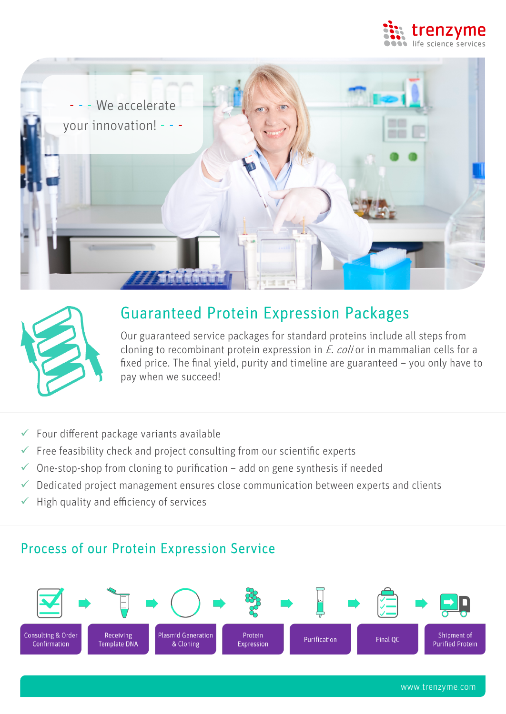





# Guaranteed Protein Expression Packages

Our guaranteed service packages for standard proteins include all steps from cloning to recombinant protein expression in *E. coli* or in mammalian cells for a fixed price. The final yield, purity and timeline are guaranteed – you only have to pay when we succeed!

- $\checkmark$  Four different package variants available
- $\checkmark$  Free feasibility check and project consulting from our scientific experts
- $\checkmark$  One-stop-shop from cloning to purification add on gene synthesis if needed
- $\checkmark$  Dedicated project management ensures close communication between experts and clients
- $\checkmark$  High quality and efficiency of services

## Process of our Protein Expression Service